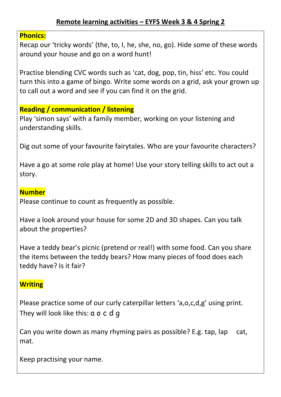## **Remote learning activities – EYFS Week 3 & 4 Spring 2**

#### **Phonics:**

Recap our 'tricky words' (the, to, I, he, she, no, go). Hide some of these words around your house and go on a word hunt!

Practise blending CVC words such as 'cat, dog, pop, tin, hiss' etc. You could turn this into a game of bingo. Write some words on a grid, ask your grown up to call out a word and see if you can find it on the grid.

# **Reading / communication / listening**

Play 'simon says' with a family member, working on your listening and understanding skills.

Dig out some of your favourite fairytales. Who are your favourite characters?

Have a go at some role play at home! Use your story telling skills to act out a story.

#### **Number**

Please continue to count as frequently as possible.

Have a look around your house for some 2D and 3D shapes. Can you talk about the properties?

Have a teddy bear's picnic (pretend or real!) with some food. Can you share the items between the teddy bears? How many pieces of food does each teddy have? Is it fair?

# **Writing**

Please practice some of our curly caterpillar letters 'a,o,c,d,g' using print. They will look like this: a o c d q

Can you write down as many rhyming pairs as possible? E.g. tap, lap cat, mat.

Keep practising your name.